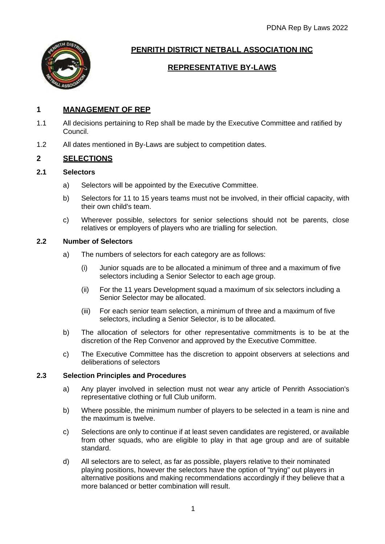

# **PENRITH DISTRICT NETBALL ASSOCIATION INC**

# **REPRESENTATIVE BY-LAWS**

# **1 MANAGEMENT OF REP**

- 1.1 All decisions pertaining to Rep shall be made by the Executive Committee and ratified by Council.
- 1.2 All dates mentioned in By-Laws are subject to competition dates.

# **2 SELECTIONS**

# **2.1 Selectors**

- a) Selectors will be appointed by the Executive Committee.
- b) Selectors for 11 to 15 years teams must not be involved, in their official capacity, with their own child's team.
- c) Wherever possible, selectors for senior selections should not be parents, close relatives or employers of players who are trialling for selection.

## **2.2 Number of Selectors**

- a) The numbers of selectors for each category are as follows:
	- (i) Junior squads are to be allocated a minimum of three and a maximum of five selectors including a Senior Selector to each age group.
	- (ii) For the 11 years Development squad a maximum of six selectors including a Senior Selector may be allocated.
	- (iii) For each senior team selection, a minimum of three and a maximum of five selectors, including a Senior Selector, is to be allocated.
- b) The allocation of selectors for other representative commitments is to be at the discretion of the Rep Convenor and approved by the Executive Committee.
- c) The Executive Committee has the discretion to appoint observers at selections and deliberations of selectors

# **2.3 Selection Principles and Procedures**

- a) Any player involved in selection must not wear any article of Penrith Association's representative clothing or full Club uniform.
- b) Where possible, the minimum number of players to be selected in a team is nine and the maximum is twelve.
- c) Selections are only to continue if at least seven candidates are registered, or available from other squads, who are eligible to play in that age group and are of suitable standard.
- d) All selectors are to select, as far as possible, players relative to their nominated playing positions, however the selectors have the option of "trying" out players in alternative positions and making recommendations accordingly if they believe that a more balanced or better combination will result.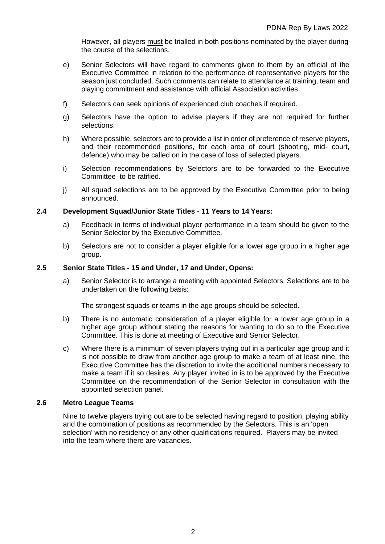However, all players must be trialled in both positions nominated by the player during the course of the selections.

- e) Senior Selectors will have regard to comments given to them by an official of the Executive Committee in relation to the performance of representative players for the season just concluded. Such comments can relate to attendance at training, team and playing commitment and assistance with official Association activities.
- f) Selectors can seek opinions of experienced club coaches if required.
- g) Selectors have the option to advise players if they are not required for further selections.
- h) Where possible, selectors are to provide a list in order of preference of reserve players, and their recommended positions, for each area of court (shooting, mid- court, defence) who may be called on in the case of loss of selected players.
- i) Selection recommendations by Selectors are to be forwarded to the Executive Committee to be ratified.
- j) All squad selections are to be approved by the Executive Committee prior to being announced.

#### **2.4 Development Squad/Junior State Titles - 11 Years to 14 Years:**

- a) Feedback in terms of individual player performance in a team should be given to the Senior Selector by the Executive Committee.
- b) Selectors are not to consider a player eligible for a lower age group in a higher age group.

#### **2.5 Senior State Titles - 15 and Under, 17 and Under, Opens:**

a) Senior Selector is to arrange a meeting with appointed Selectors. Selections are to be undertaken on the following basis:

The strongest squads or teams in the age groups should be selected.

- b) There is no automatic consideration of a player eligible for a lower age group in a higher age group without stating the reasons for wanting to do so to the Executive Committee. This is done at meeting of Executive and Senior Selector.
- c) Where there is a minimum of seven players trying out in a particular age group and it is not possible to draw from another age group to make a team of at least nine, the Executive Committee has the discretion to invite the additional numbers necessary to make a team if it so desires. Any player invited in is to be approved by the Executive Committee on the recommendation of the Senior Selector in consultation with the appointed selection panel.

#### **2.6 Metro League Teams**

Nine to twelve players trying out are to be selected having regard to position, playing ability and the combination of positions as recommended by the Selectors. This is an 'open selection' with no residency or any other qualifications required. Players may be invited into the team where there are vacancies.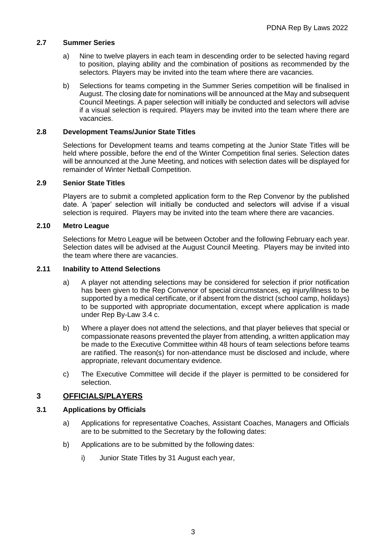### **2.7 Summer Series**

- a) Nine to twelve players in each team in descending order to be selected having regard to position, playing ability and the combination of positions as recommended by the selectors. Players may be invited into the team where there are vacancies.
- b) Selections for teams competing in the Summer Series competition will be finalised in August. The closing date for nominations will be announced at the May and subsequent Council Meetings. A paper selection will initially be conducted and selectors will advise if a visual selection is required. Players may be invited into the team where there are vacancies.

#### **2.8 Development Teams/Junior State Titles**

Selections for Development teams and teams competing at the Junior State Titles will be held where possible, before the end of the Winter Competition final series. Selection dates will be announced at the June Meeting, and notices with selection dates will be displayed for remainder of Winter Netball Competition.

#### **2.9 Senior State Titles**

Players are to submit a completed application form to the Rep Convenor by the published date. A 'paper' selection will initially be conducted and selectors will advise if a visual selection is required. Players may be invited into the team where there are vacancies.

## **2.10 Metro League**

Selections for Metro League will be between October and the following February each year. Selection dates will be advised at the August Council Meeting. Players may be invited into the team where there are vacancies.

#### **2.11 Inability to Attend Selections**

- a) A player not attending selections may be considered for selection if prior notification has been given to the Rep Convenor of special circumstances, eg injury/illness to be supported by a medical certificate, or if absent from the district (school camp, holidays) to be supported with appropriate documentation, except where application is made under Rep By-Law 3.4 c.
- b) Where a player does not attend the selections, and that player believes that special or compassionate reasons prevented the player from attending, a written application may be made to the Executive Committee within 48 hours of team selections before teams are ratified. The reason(s) for non-attendance must be disclosed and include, where appropriate, relevant documentary evidence.
- c) The Executive Committee will decide if the player is permitted to be considered for selection.

## **3 OFFICIALS/PLAYERS**

#### **3.1 Applications by Officials**

- a) Applications for representative Coaches, Assistant Coaches, Managers and Officials are to be submitted to the Secretary by the following dates:
- b) Applications are to be submitted by the following dates:
	- i) Junior State Titles by 31 August each year,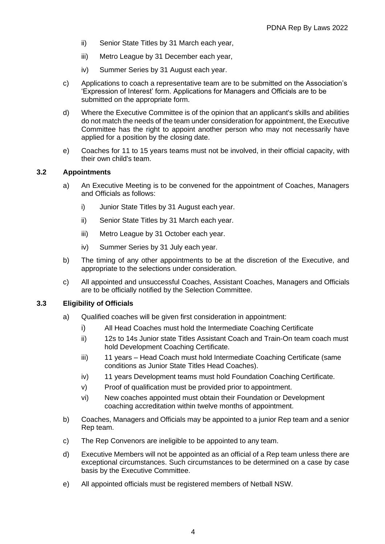- ii) Senior State Titles by 31 March each year,
- iii) Metro League by 31 December each year,
- iv) Summer Series by 31 August each year.
- c) Applications to coach a representative team are to be submitted on the Association's 'Expression of Interest' form. Applications for Managers and Officials are to be submitted on the appropriate form.
- d) Where the Executive Committee is of the opinion that an applicant's skills and abilities do not match the needs of the team under consideration for appointment, the Executive Committee has the right to appoint another person who may not necessarily have applied for a position by the closing date.
- e) Coaches for 11 to 15 years teams must not be involved, in their official capacity, with their own child's team.

#### **3.2 Appointments**

- a) An Executive Meeting is to be convened for the appointment of Coaches, Managers and Officials as follows:
	- i) Junior State Titles by 31 August each year.
	- ii) Senior State Titles by 31 March each year.
	- iii) Metro League by 31 October each year.
	- iv) Summer Series by 31 July each year.
- b) The timing of any other appointments to be at the discretion of the Executive, and appropriate to the selections under consideration.
- c) All appointed and unsuccessful Coaches, Assistant Coaches, Managers and Officials are to be officially notified by the Selection Committee.

## **3.3 Eligibility of Officials**

- a) Qualified coaches will be given first consideration in appointment:
	- i) All Head Coaches must hold the Intermediate Coaching Certificate
	- ii) 12s to 14s Junior state Titles Assistant Coach and Train-On team coach must hold Development Coaching Certificate.
	- iii) 11 years Head Coach must hold Intermediate Coaching Certificate (same conditions as Junior State Titles Head Coaches).
	- iv) 11 years Development teams must hold Foundation Coaching Certificate.
	- v) Proof of qualification must be provided prior to appointment.
	- vi) New coaches appointed must obtain their Foundation or Development coaching accreditation within twelve months of appointment.
- b) Coaches, Managers and Officials may be appointed to a junior Rep team and a senior Rep team.
- c) The Rep Convenors are ineligible to be appointed to any team.
- d) Executive Members will not be appointed as an official of a Rep team unless there are exceptional circumstances. Such circumstances to be determined on a case by case basis by the Executive Committee.
- e) All appointed officials must be registered members of Netball NSW.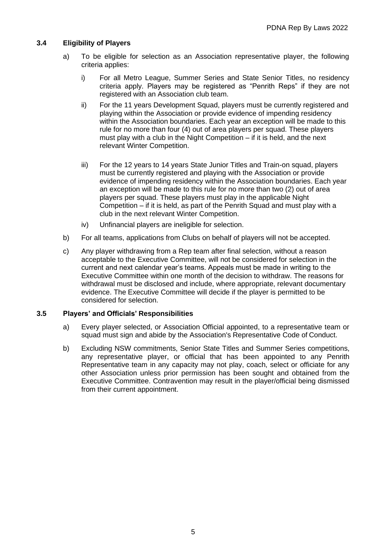## **3.4 Eligibility of Players**

- a) To be eligible for selection as an Association representative player, the following criteria applies:
	- i) For all Metro League, Summer Series and State Senior Titles, no residency criteria apply. Players may be registered as "Penrith Reps" if they are not registered with an Association club team.
	- ii) For the 11 years Development Squad, players must be currently registered and playing within the Association or provide evidence of impending residency within the Association boundaries. Each year an exception will be made to this rule for no more than four (4) out of area players per squad. These players must play with a club in the Night Competition – if it is held, and the next relevant Winter Competition.
	- iii) For the 12 years to 14 years State Junior Titles and Train-on squad, players must be currently registered and playing with the Association or provide evidence of impending residency within the Association boundaries. Each year an exception will be made to this rule for no more than two (2) out of area players per squad. These players must play in the applicable Night Competition – if it is held, as part of the Penrith Squad and must play with a club in the next relevant Winter Competition.
	- iv) Unfinancial players are ineligible for selection.
- b) For all teams, applications from Clubs on behalf of players will not be accepted.
- c) Any player withdrawing from a Rep team after final selection, without a reason acceptable to the Executive Committee, will not be considered for selection in the current and next calendar year's teams. Appeals must be made in writing to the Executive Committee within one month of the decision to withdraw. The reasons for withdrawal must be disclosed and include, where appropriate, relevant documentary evidence. The Executive Committee will decide if the player is permitted to be considered for selection.

## **3.5 Players' and Officials' Responsibilities**

- a) Every player selected, or Association Official appointed, to a representative team or squad must sign and abide by the Association's Representative Code of Conduct.
- b) Excluding NSW commitments, Senior State Titles and Summer Series competitions, any representative player, or official that has been appointed to any Penrith Representative team in any capacity may not play, coach, select or officiate for any other Association unless prior permission has been sought and obtained from the Executive Committee. Contravention may result in the player/official being dismissed from their current appointment.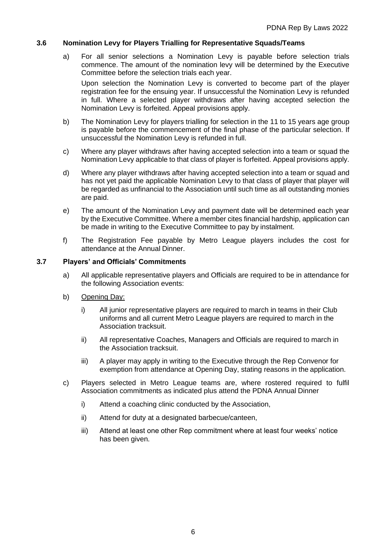#### **3.6 Nomination Levy for Players Trialling for Representative Squads/Teams**

a) For all senior selections a Nomination Levy is payable before selection trials commence. The amount of the nomination levy will be determined by the Executive Committee before the selection trials each year.

Upon selection the Nomination Levy is converted to become part of the player registration fee for the ensuing year. If unsuccessful the Nomination Levy is refunded in full. Where a selected player withdraws after having accepted selection the Nomination Levy is forfeited. Appeal provisions apply.

- b) The Nomination Levy for players trialling for selection in the 11 to 15 years age group is payable before the commencement of the final phase of the particular selection. If unsuccessful the Nomination Levy is refunded in full.
- c) Where any player withdraws after having accepted selection into a team or squad the Nomination Levy applicable to that class of player is forfeited. Appeal provisions apply.
- d) Where any player withdraws after having accepted selection into a team or squad and has not yet paid the applicable Nomination Levy to that class of player that player will be regarded as unfinancial to the Association until such time as all outstanding monies are paid.
- e) The amount of the Nomination Levy and payment date will be determined each year by the Executive Committee. Where a member cites financial hardship, application can be made in writing to the Executive Committee to pay by instalment.
- f) The Registration Fee payable by Metro League players includes the cost for attendance at the Annual Dinner.

#### **3.7 Players' and Officials' Commitments**

- a) All applicable representative players and Officials are required to be in attendance for the following Association events:
- b) Opening Day:
	- i) All junior representative players are required to march in teams in their Club uniforms and all current Metro League players are required to march in the Association tracksuit.
	- ii) All representative Coaches, Managers and Officials are required to march in the Association tracksuit.
	- iii) A player may apply in writing to the Executive through the Rep Convenor for exemption from attendance at Opening Day, stating reasons in the application.
- c) Players selected in Metro League teams are, where rostered required to fulfil Association commitments as indicated plus attend the PDNA Annual Dinner
	- i) Attend a coaching clinic conducted by the Association,
	- ii) Attend for duty at a designated barbecue/canteen,
	- iii) Attend at least one other Rep commitment where at least four weeks' notice has been given.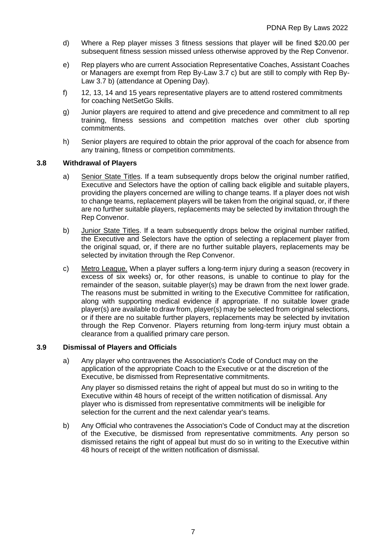- d) Where a Rep player misses 3 fitness sessions that player will be fined \$20.00 per subsequent fitness session missed unless otherwise approved by the Rep Convenor.
- e) Rep players who are current Association Representative Coaches, Assistant Coaches or Managers are exempt from Rep By-Law 3.7 c) but are still to comply with Rep By-Law 3.7 b) (attendance at Opening Day).
- f) 12, 13, 14 and 15 years representative players are to attend rostered commitments for coaching NetSetGo Skills.
- g) Junior players are required to attend and give precedence and commitment to all rep training, fitness sessions and competition matches over other club sporting commitments.
- h) Senior players are required to obtain the prior approval of the coach for absence from any training, fitness or competition commitments.

## **3.8 Withdrawal of Players**

- a) Senior State Titles. If a team subsequently drops below the original number ratified, Executive and Selectors have the option of calling back eligible and suitable players, providing the players concerned are willing to change teams. If a player does not wish to change teams, replacement players will be taken from the original squad, or, if there are no further suitable players, replacements may be selected by invitation through the Rep Convenor.
- b) Junior State Titles. If a team subsequently drops below the original number ratified, the Executive and Selectors have the option of selecting a replacement player from the original squad, or, if there are no further suitable players, replacements may be selected by invitation through the Rep Convenor.
- c) Metro League. When a player suffers a long-term injury during a season (recovery in excess of six weeks) or, for other reasons, is unable to continue to play for the remainder of the season, suitable player(s) may be drawn from the next lower grade. The reasons must be submitted in writing to the Executive Committee for ratification, along with supporting medical evidence if appropriate. If no suitable lower grade player(s) are available to draw from, player(s) may be selected from original selections, or if there are no suitable further players, replacements may be selected by invitation through the Rep Convenor. Players returning from long-term injury must obtain a clearance from a qualified primary care person.

## **3.9 Dismissal of Players and Officials**

a) Any player who contravenes the Association's Code of Conduct may on the application of the appropriate Coach to the Executive or at the discretion of the Executive, be dismissed from Representative commitments.

Any player so dismissed retains the right of appeal but must do so in writing to the Executive within 48 hours of receipt of the written notification of dismissal. Any player who is dismissed from representative commitments will be ineligible for selection for the current and the next calendar year's teams.

b) Any Official who contravenes the Association's Code of Conduct may at the discretion of the Executive, be dismissed from representative commitments. Any person so dismissed retains the right of appeal but must do so in writing to the Executive within 48 hours of receipt of the written notification of dismissal.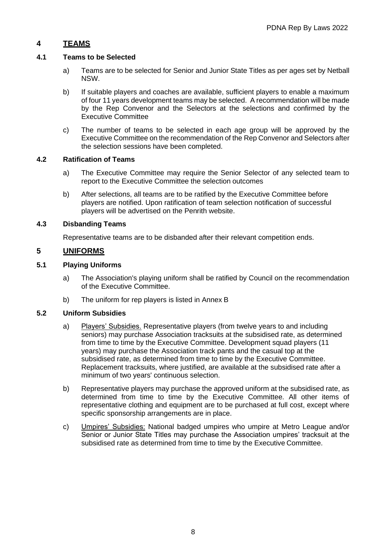# **4 TEAMS**

## **4.1 Teams to be Selected**

- a) Teams are to be selected for Senior and Junior State Titles as per ages set by Netball NSW.
- b) If suitable players and coaches are available, sufficient players to enable a maximum of four 11 years development teams may be selected. A recommendation will be made by the Rep Convenor and the Selectors at the selections and confirmed by the Executive Committee
- c) The number of teams to be selected in each age group will be approved by the Executive Committee on the recommendation of the Rep Convenor and Selectors after the selection sessions have been completed.

## **4.2 Ratification of Teams**

- a) The Executive Committee may require the Senior Selector of any selected team to report to the Executive Committee the selection outcomes
- b) After selections, all teams are to be ratified by the Executive Committee before players are notified. Upon ratification of team selection notification of successful players will be advertised on the Penrith website.

## **4.3 Disbanding Teams**

Representative teams are to be disbanded after their relevant competition ends.

# **5 UNIFORMS**

## **5.1 Playing Uniforms**

- a) The Association's playing uniform shall be ratified by Council on the recommendation of the Executive Committee.
- b) The uniform for rep players is listed in Annex B

# **5.2 Uniform Subsidies**

- a) Players' Subsidies. Representative players (from twelve years to and including seniors) may purchase Association tracksuits at the subsidised rate, as determined from time to time by the Executive Committee. Development squad players (11 years) may purchase the Association track pants and the casual top at the subsidised rate, as determined from time to time by the Executive Committee. Replacement tracksuits, where justified, are available at the subsidised rate after a minimum of two years' continuous selection.
- b) Representative players may purchase the approved uniform at the subsidised rate, as determined from time to time by the Executive Committee. All other items of representative clothing and equipment are to be purchased at full cost, except where specific sponsorship arrangements are in place.
- c) Umpires' Subsidies: National badged umpires who umpire at Metro League and/or Senior or Junior State Titles may purchase the Association umpires' tracksuit at the subsidised rate as determined from time to time by the Executive Committee.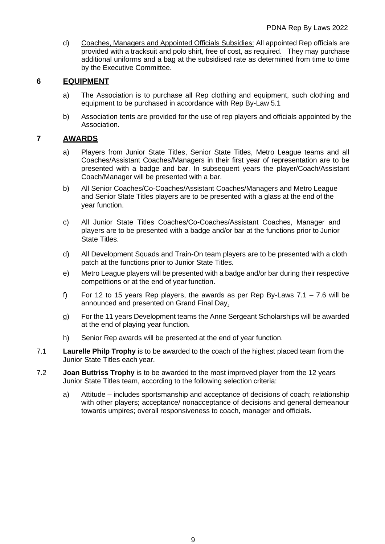d) Coaches, Managers and Appointed Officials Subsidies: All appointed Rep officials are provided with a tracksuit and polo shirt, free of cost, as required. They may purchase additional uniforms and a bag at the subsidised rate as determined from time to time by the Executive Committee.

# **6 EQUIPMENT**

- a) The Association is to purchase all Rep clothing and equipment, such clothing and equipment to be purchased in accordance with Rep By-Law 5.1
- b) Association tents are provided for the use of rep players and officials appointed by the Association.

# **7 AWARDS**

- a) Players from Junior State Titles, Senior State Titles, Metro League teams and all Coaches/Assistant Coaches/Managers in their first year of representation are to be presented with a badge and bar. In subsequent years the player/Coach/Assistant Coach/Manager will be presented with a bar.
- b) All Senior Coaches/Co-Coaches/Assistant Coaches/Managers and Metro League and Senior State Titles players are to be presented with a glass at the end of the year function.
- c) All Junior State Titles Coaches/Co-Coaches/Assistant Coaches, Manager and players are to be presented with a badge and/or bar at the functions prior to Junior State Titles.
- d) All Development Squads and Train-On team players are to be presented with a cloth patch at the functions prior to Junior State Titles.
- e) Metro League players will be presented with a badge and/or bar during their respective competitions or at the end of year function.
- f) For 12 to 15 years Rep players, the awards as per Rep By-Laws  $7.1 7.6$  will be announced and presented on Grand Final Day.
- g) For the 11 years Development teams the Anne Sergeant Scholarships will be awarded at the end of playing year function.
- h) Senior Rep awards will be presented at the end of year function.
- 7.1 **Laurelle Philp Trophy** is to be awarded to the coach of the highest placed team from the Junior State Titles each year.
- 7.2 **Joan Buttriss Trophy** is to be awarded to the most improved player from the 12 years Junior State Titles team, according to the following selection criteria:
	- a) Attitude includes sportsmanship and acceptance of decisions of coach; relationship with other players; acceptance/ nonacceptance of decisions and general demeanour towards umpires; overall responsiveness to coach, manager and officials.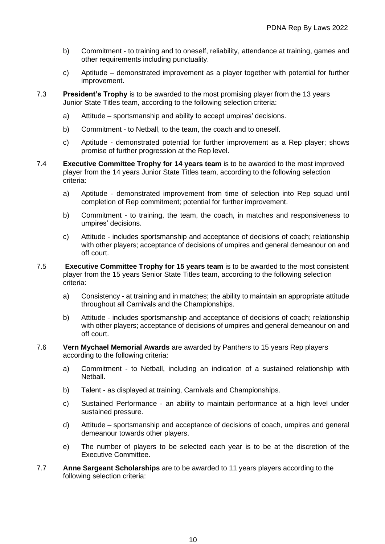- b) Commitment to training and to oneself, reliability, attendance at training, games and other requirements including punctuality.
- c) Aptitude demonstrated improvement as a player together with potential for further improvement.
- 7.3 **President's Trophy** is to be awarded to the most promising player from the 13 years Junior State Titles team, according to the following selection criteria:
	- a) Attitude sportsmanship and ability to accept umpires' decisions.
	- b) Commitment to Netball, to the team, the coach and to oneself.
	- c) Aptitude demonstrated potential for further improvement as a Rep player; shows promise of further progression at the Rep level.
- 7.4 **Executive Committee Trophy for 14 years team** is to be awarded to the most improved player from the 14 years Junior State Titles team, according to the following selection criteria:
	- a) Aptitude demonstrated improvement from time of selection into Rep squad until completion of Rep commitment; potential for further improvement.
	- b) Commitment to training, the team, the coach, in matches and responsiveness to umpires' decisions.
	- c) Attitude includes sportsmanship and acceptance of decisions of coach; relationship with other players; acceptance of decisions of umpires and general demeanour on and off court.
- 7.5 **Executive Committee Trophy for 15 years team** is to be awarded to the most consistent player from the 15 years Senior State Titles team, according to the following selection criteria:
	- a) Consistency at training and in matches; the ability to maintain an appropriate attitude throughout all Carnivals and the Championships.
	- b) Attitude includes sportsmanship and acceptance of decisions of coach; relationship with other players; acceptance of decisions of umpires and general demeanour on and off court.
- 7.6 **Vern Mychael Memorial Awards** are awarded by Panthers to 15 years Rep players according to the following criteria:
	- a) Commitment to Netball, including an indication of a sustained relationship with Netball.
	- b) Talent as displayed at training, Carnivals and Championships.
	- c) Sustained Performance an ability to maintain performance at a high level under sustained pressure.
	- d) Attitude sportsmanship and acceptance of decisions of coach, umpires and general demeanour towards other players.
	- e) The number of players to be selected each year is to be at the discretion of the Executive Committee.
- 7.7 **Anne Sargeant Scholarships** are to be awarded to 11 years players according to the following selection criteria: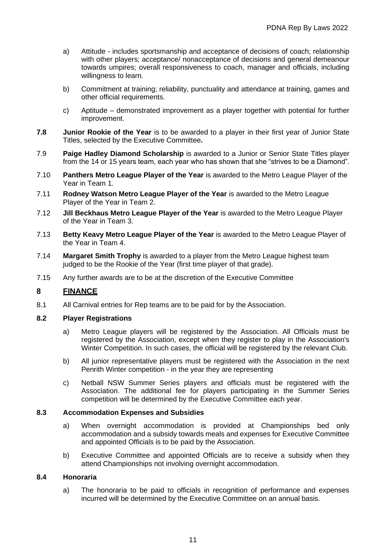- a) Attitude includes sportsmanship and acceptance of decisions of coach; relationship with other players; acceptance/ nonacceptance of decisions and general demeanour towards umpires; overall responsiveness to coach, manager and officials, including willingness to learn.
- b) Commitment at training; reliability, punctuality and attendance at training, games and other official requirements.
- c) Aptitude demonstrated improvement as a player together with potential for further improvement.
- **7.8 Junior Rookie of the Year** is to be awarded to a player in their first year of Junior State Titles, selected by the Executive Committee**.**
- 7.9 **Paige Hadley Diamond Scholarship** is awarded to a Junior or Senior State Titles player from the 14 or 15 years team, each year who has shown that she "strives to be a Diamond".
- 7.10 **Panthers Metro League Player of the Year** is awarded to the Metro League Player of the Year in Team 1.
- 7.11 **Rodney Watson Metro League Player of the Year** is awarded to the Metro League Player of the Year in Team 2.
- 7.12 **Jill Beckhaus Metro League Player of the Year** is awarded to the Metro League Player of the Year in Team 3.
- 7.13 **Betty Keavy Metro League Player of the Year** is awarded to the Metro League Player of the Year in Team 4.
- 7.14 **Margaret Smith Trophy** is awarded to a player from the Metro League highest team judged to be the Rookie of the Year (first time player of that grade).
- 7.15 Any further awards are to be at the discretion of the Executive Committee

# **8 FINANCE**

8.1 All Carnival entries for Rep teams are to be paid for by the Association.

## **8.2 Player Registrations**

- a) Metro League players will be registered by the Association. All Officials must be registered by the Association, except when they register to play in the Association's Winter Competition. In such cases, the official will be registered by the relevant Club.
- b) All junior representative players must be registered with the Association in the next Penrith Winter competition - in the year they are representing
- c) Netball NSW Summer Series players and officials must be registered with the Association. The additional fee for players participating in the Summer Series competition will be determined by the Executive Committee each year.

# **8.3 Accommodation Expenses and Subsidies**

- a) When overnight accommodation is provided at Championships bed only accommodation and a subsidy towards meals and expenses for Executive Committee and appointed Officials is to be paid by the Association.
- b) Executive Committee and appointed Officials are to receive a subsidy when they attend Championships not involving overnight accommodation.

## **8.4 Honoraria**

a) The honoraria to be paid to officials in recognition of performance and expenses incurred will be determined by the Executive Committee on an annual basis.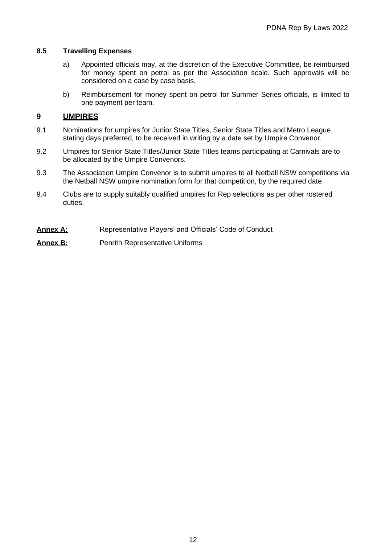## **8.5 Travelling Expenses**

- a) Appointed officials may, at the discretion of the Executive Committee, be reimbursed for money spent on petrol as per the Association scale. Such approvals will be considered on a case by case basis.
- b) Reimbursement for money spent on petrol for Summer Series officials, is limited to one payment per team.

# **9 UMPIRES**

- 9.1 Nominations for umpires for Junior State Titles, Senior State Titles and Metro League, stating days preferred, to be received in writing by a date set by Umpire Convenor.
- 9.2 Umpires for Senior State Titles/Junior State Titles teams participating at Carnivals are to be allocated by the Umpire Convenors.
- 9.3 The Association Umpire Convenor is to submit umpires to all Netball NSW competitions via the Netball NSW umpire nomination form for that competition, by the required date.
- 9.4 Clubs are to supply suitably qualified umpires for Rep selections as per other rostered duties.
- **Annex A:** Representative Players' and Officials' Code of Conduct

## **Annex B:** Penrith Representative Uniforms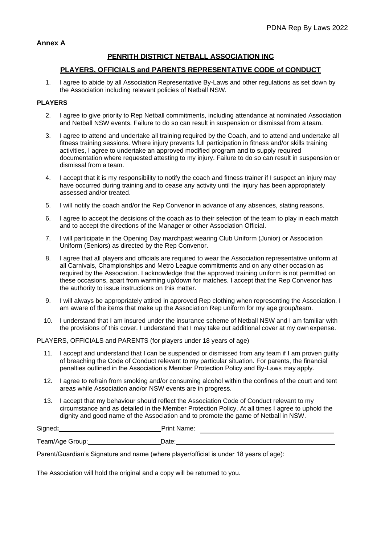## **PENRITH DISTRICT NETBALL ASSOCIATION INC**

### **PLAYERS, OFFICIALS and PARENTS REPRESENTATIVE CODE of CONDUCT**

1. I agree to abide by all Association Representative By-Laws and other regulations as set down by the Association including relevant policies of Netball NSW.

#### **PLAYERS**

- 2. I agree to give priority to Rep Netball commitments, including attendance at nominated Association and Netball NSW events. Failure to do so can result in suspension or dismissal from a team.
- 3. I agree to attend and undertake all training required by the Coach, and to attend and undertake all fitness training sessions. Where injury prevents full participation in fitness and/or skills training activities, I agree to undertake an approved modified program and to supply required documentation where requested attesting to my injury. Failure to do so can result in suspension or dismissal from a team.
- 4. I accept that it is my responsibility to notify the coach and fitness trainer if I suspect an injury may have occurred during training and to cease any activity until the injury has been appropriately assessed and/or treated.
- 5. I wilI notify the coach and/or the Rep Convenor in advance of any absences, stating reasons.
- 6. I agree to accept the decisions of the coach as to their selection of the team to play in each match and to accept the directions of the Manager or other Association Official.
- 7. I will participate in the Opening Day marchpast wearing Club Uniform (Junior) or Association Uniform (Seniors) as directed by the Rep Convenor.
- 8. I agree that all players and officials are required to wear the Association representative uniform at all Carnivals, Championships and Metro League commitments and on any other occasion as required by the Association. I acknowledge that the approved training uniform is not permitted on these occasions, apart from warming up/down for matches. I accept that the Rep Convenor has the authority to issue instructions on this matter.
- 9. I will always be appropriately attired in approved Rep clothing when representing the Association. I am aware of the items that make up the Association Rep uniform for my age group/team.
- 10. I understand that I am insured under the insurance scheme of Netball NSW and I am familiar with the provisions of this cover. I understand that I may take out additional cover at my own expense.

PLAYERS, OFFICIALS and PARENTS (for players under 18 years of age)

- 11. I accept and understand that I can be suspended or dismissed from any team if I am proven guilty of breaching the Code of Conduct relevant to my particular situation. For parents, the financial penalties outlined in the Association's Member Protection Policy and By-Laws may apply.
- 12. I agree to refrain from smoking and/or consuming alcohol within the confines of the court and tent areas while Association and/or NSW events are in progress.
- 13. I accept that my behaviour should reflect the Association Code of Conduct relevant to my circumstance and as detailed in the Member Protection Policy. At all times I agree to uphold the dignity and good name of the Association and to promote the game of Netball in NSW.

| Signed | Drint.<br>Name:<br>гшк |  |
|--------|------------------------|--|
|        |                        |  |

Team/Age Group: Date:

Parent/Guardian's Signature and name (where player/official is under 18 years of age):

The Association will hold the original and a copy will be returned to you.